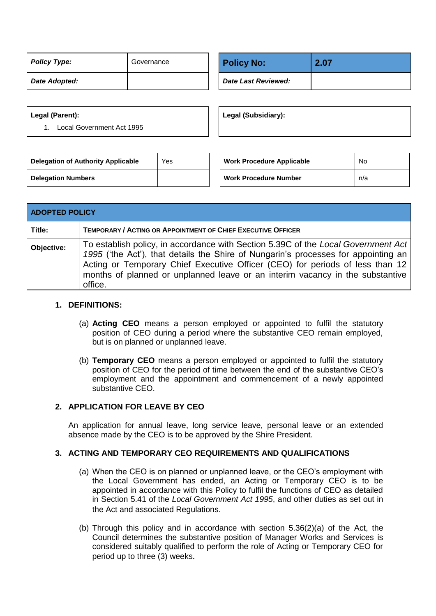| Policy Type:  | Governance |  | <b>Policy No:</b>   |  |
|---------------|------------|--|---------------------|--|
| Date Adopted: |            |  | Date Last Reviewed: |  |

| <b>Policy No:</b>   | 2.07 |
|---------------------|------|
| Date Last Reviewed: |      |

#### **Legal (Parent):**

1. Local Government Act 1995

**Legal (Subsidiary):**

| <b>Delegation of Authority Applicable</b> | Yes | <b>Work Procedure Applicable</b> | No  |
|-------------------------------------------|-----|----------------------------------|-----|
| <b>Delegation Numbers</b>                 |     | <b>Work Procedure Number</b>     | n/a |

| <b>ADOPTED POLICY</b> |                                                                                                                                                                                                                                                                                                                                                      |  |  |  |
|-----------------------|------------------------------------------------------------------------------------------------------------------------------------------------------------------------------------------------------------------------------------------------------------------------------------------------------------------------------------------------------|--|--|--|
| Title:                | <b>TEMPORARY / ACTING OR APPOINTMENT OF CHIEF EXECUTIVE OFFICER</b>                                                                                                                                                                                                                                                                                  |  |  |  |
| Objective:            | To establish policy, in accordance with Section 5.39C of the Local Government Act<br>1995 ('the Act'), that details the Shire of Nungarin's processes for appointing an<br>Acting or Temporary Chief Executive Officer (CEO) for periods of less than 12<br>months of planned or unplanned leave or an interim vacancy in the substantive<br>office. |  |  |  |

### **1. DEFINITIONS:**

- (a) **Acting CEO** means a person employed or appointed to fulfil the statutory position of CEO during a period where the substantive CEO remain employed, but is on planned or unplanned leave.
- (b) **Temporary CEO** means a person employed or appointed to fulfil the statutory position of CEO for the period of time between the end of the substantive CEO's employment and the appointment and commencement of a newly appointed substantive CEO.

# **2. APPLICATION FOR LEAVE BY CEO**

An application for annual leave, long service leave, personal leave or an extended absence made by the CEO is to be approved by the Shire President.

#### **3. ACTING AND TEMPORARY CEO REQUIREMENTS AND QUALIFICATIONS**

- (a) When the CEO is on planned or unplanned leave, or the CEO's employment with the Local Government has ended, an Acting or Temporary CEO is to be appointed in accordance with this Policy to fulfil the functions of CEO as detailed in Section 5.41 of the *Local Government Act 1995*, and other duties as set out in the Act and associated Regulations.
- (b) Through this policy and in accordance with section 5.36(2)(a) of the Act, the Council determines the substantive position of Manager Works and Services is considered suitably qualified to perform the role of Acting or Temporary CEO for period up to three (3) weeks.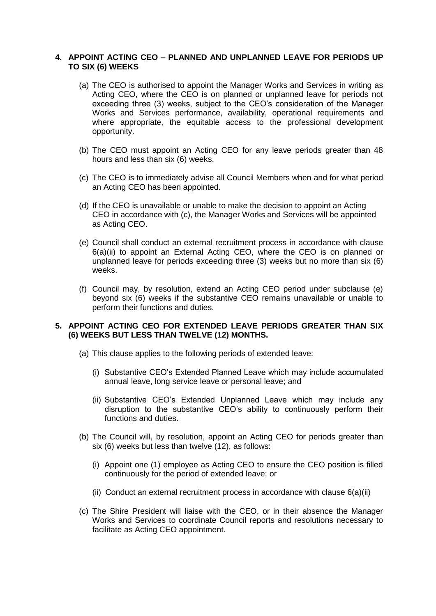### **4. APPOINT ACTING CEO – PLANNED AND UNPLANNED LEAVE FOR PERIODS UP TO SIX (6) WEEKS**

- (a) The CEO is authorised to appoint the Manager Works and Services in writing as Acting CEO, where the CEO is on planned or unplanned leave for periods not exceeding three (3) weeks, subject to the CEO's consideration of the Manager Works and Services performance, availability, operational requirements and where appropriate, the equitable access to the professional development opportunity.
- (b) The CEO must appoint an Acting CEO for any leave periods greater than 48 hours and less than six (6) weeks.
- (c) The CEO is to immediately advise all Council Members when and for what period an Acting CEO has been appointed.
- (d) If the CEO is unavailable or unable to make the decision to appoint an Acting CEO in accordance with (c), the Manager Works and Services will be appointed as Acting CEO.
- (e) Council shall conduct an external recruitment process in accordance with clause 6(a)(ii) to appoint an External Acting CEO, where the CEO is on planned or unplanned leave for periods exceeding three (3) weeks but no more than six (6) weeks.
- (f) Council may, by resolution, extend an Acting CEO period under subclause (e) beyond six (6) weeks if the substantive CEO remains unavailable or unable to perform their functions and duties.

#### **5. APPOINT ACTING CEO FOR EXTENDED LEAVE PERIODS GREATER THAN SIX (6) WEEKS BUT LESS THAN TWELVE (12) MONTHS.**

- (a) This clause applies to the following periods of extended leave:
	- (i) Substantive CEO's Extended Planned Leave which may include accumulated annual leave, long service leave or personal leave; and
	- (ii) Substantive CEO's Extended Unplanned Leave which may include any disruption to the substantive CEO's ability to continuously perform their functions and duties.
- (b) The Council will, by resolution, appoint an Acting CEO for periods greater than six (6) weeks but less than twelve (12), as follows:
	- (i) Appoint one (1) employee as Acting CEO to ensure the CEO position is filled continuously for the period of extended leave; or
	- (ii) Conduct an external recruitment process in accordance with clause  $6(a)$ (ii)
- (c) The Shire President will liaise with the CEO, or in their absence the Manager Works and Services to coordinate Council reports and resolutions necessary to facilitate as Acting CEO appointment.